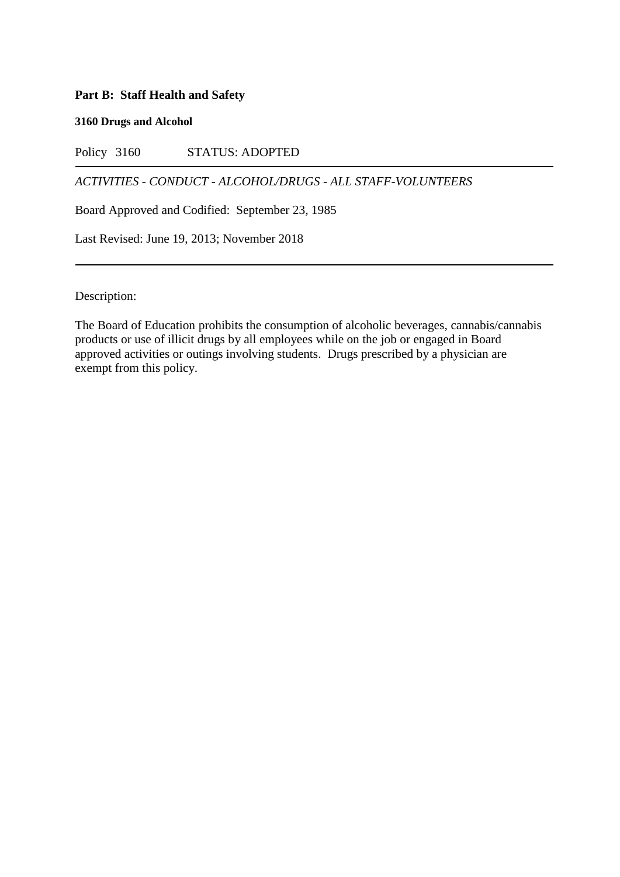# **Part B: Staff Health and Safety**

## **3160 Drugs and Alcohol**

Policy 3160 STATUS: ADOPTED

*ACTIVITIES - CONDUCT - ALCOHOL/DRUGS - ALL STAFF-VOLUNTEERS*

Board Approved and Codified: September 23, 1985

Last Revised: June 19, 2013; November 2018

Description:

The Board of Education prohibits the consumption of alcoholic beverages, cannabis/cannabis products or use of illicit drugs by all employees while on the job or engaged in Board approved activities or outings involving students. Drugs prescribed by a physician are exempt from this policy.